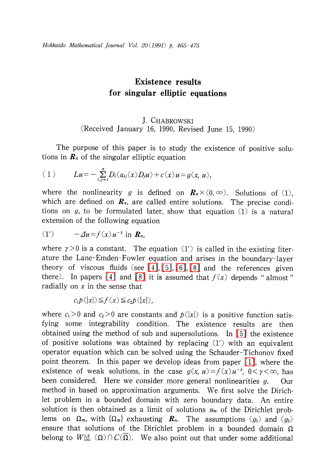# Existence results for singular elliptic equations

## J. CHABROWSKI (Received January 16, 1990, Revised June 15, 1990)

The purpose of this paper is to study the existence of positive solutions in  $\mathbf{R}_{n}$  of the singular elliptic equation

(1) 
$$
Lu = -\sum_{i,j=1}^{n} D_i(a_{ij}(x)D_j u) + c(x)u = g(x, u),
$$

where the nonlinearity g is defined on  $\mathbf{R}_{n}\times(0,\infty)$ . Solutions of (1), which are defined on  $\boldsymbol{R}_{n}$ , are called entire solutions. The precise conditions on  $g$ , to be formulated later, show that equation  $(1)$  is a natural extension of the following equation

(1') 
$$
-\Delta u = f(x)u^{-\gamma} \text{ in } \mathbf{R}_n,
$$

where  $\gamma>0$  is a constant. The equation (1') is called in the existing literature the Lane-Emden-Fowler equation and arises in the boundary-layer theory of viscous fluids (see [\[4\],](#page-10-0) [\[5\],](#page-10-1) [\[6\],](#page-10-2) [\[8\]](#page-10-3) and the references given there). In papers [\[4\]](#page-10-0) and [\[8\]](#page-10-3) it is assumed that  $f(x)$  depends "almost" radially on  $x$  in the sense that

$$
c_1 p(|x|) \leq f(x) \leq c_2 p(|x|),
$$

where  $c_{1}>0$  and  $c_{2}>0$  are constants and  $p(|x|)$  is a positive function satisfying some integrability condition. The existence results are then obtained using the method of sub and supersolutions. In [\[5\]](#page-10-1) the existence of positive solutions was obtained by replacing (1') with an equivalent operator equation which can be solved using the Schauder-Tichonov fixed point theorem. In this paper we develop ideas from paper [\[1\],](#page-10-4) where the existence of weak solutions, in the case  $g(x, u) = f(x)u^{-\gamma}$ ,  $0 < \gamma < \infty$ , has been considered. Here we consider more general nonlinearities g. Our method in based on approximation arguments. We first solve the Dirichlet problem in a bounded domain with zero boundary data. An entire solution is then obtained as a limit of solutions  $u_{m}$  of the Dirichlet problems on  $\Omega_{m}$ , with  $\{\Omega_{m}\}$  exhausting  $\bm{R}_{n}$ . The assumptions  $(g_{1})$  and  $(g_{2})$ ensure that solutions of the Dirichlet problem in a bounded domain  $\Omega$ belong to  $W_{10c}^{1,2}(\Omega)\cap C(\overline{\Omega})$ . We also point out that under some additional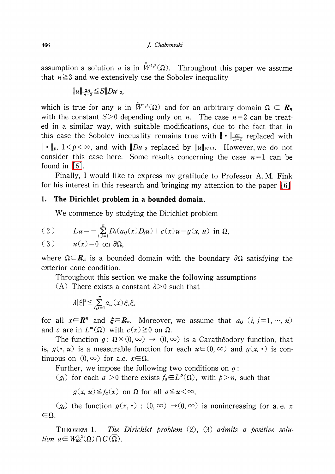466 J. Chabrowski

assumption a solution  $u$  is in  $W^{1,2}(\Omega)$ . Throughout this paper we assume that  $n \geq 3$  and we extensively use the Sobolev inequality

 $||u||_{\frac{2n}{n-2}} \leq S||Du||_{2}$ 

which is true for any u in  $\mathring{W}^{1,2}(\Omega)$  and for an arbitrary domain  $\Omega\subset\mathbf{R}_{n}$ with the constant  $S>0$  depending only on *n*. The case  $n=2$  can be treated in a similar way, with suitable modifications, due to the fact that in this case the Sobolev inequality remains true with  $\|\cdot\|_{\frac{2n}{n-2}}$  replaced with  $\|\cdot\|_{p}$ ,  $1\!<\!p\!<\!\infty$ , and with  $\|D u\|_{2}$  replaced by  $\|u\|_{W^{1,2}}$ . However, we do not consider this case here. Some results concerning the case  $n=1$  can be found in [\[6\].](#page-10-2)

Finally, <sup>I</sup> would like to express my gratitude to Professor A. M. Fink for his interest in this research and bringing my attention to the paper [\[6\]](#page-10-2)

### 1. The Dirichlet problem in a bounded domain.

We commence by studying the Dirichlet problem

(2) 
$$
Lu = -\sum_{i,j=1}^{n} D_i(a_{ij}(x)D_j u) + c(x)u = g(x, u) \text{ in } \Omega,
$$
  
(3) 
$$
u(x) = 0 \text{ on } \partial\Omega,
$$

where  $\Omega\subset\mathbb{R}_{n}$  is a bounded domain with the boundary  $\partial\Omega$  satisfying the exterior cone condition.

Throughout this section we make the following assumptions

(A) There exists a constant  $\lambda>0$  such that

$$
\lambda|\xi|^2{\leq}\sum_{i,j=1}^n a_{ij}(x)\,\xi_i\xi_j
$$

for all  $x\!\!\in\!\! \boldsymbol{R}^n$  and  $\xi\!\!\in\!\! \boldsymbol{R}_n$ . Moreover, we assume that  $a_{ij}$   $(i, j\!=\!1, \cdots, n)$ and c are in  $L^{\infty}(\Omega)$  with  $c(x) \geq 0$  on  $\Omega$ .

The function  $g: \Omega \times (0, \infty) \to (0, \infty)$  is a Carather odory function, that is,  $g(\cdot, u)$  is a measurable function for each  $u \in (0, \infty)$  and  $g(x, \cdot)$  is continuous on  $(0, \infty)$  for a.e.  $x \in \Omega$ .

Further, we impose the following two conditions on  $g$ :

 $(g_{1})$  for each  $a>0$  there exists  $f_{a} \in L^{p}(\Omega)$ , with  $p>n$ , such that

 $g(x, u) \leq f_{a}(x)$  on  $\Omega$  for all  $a \leq u < \infty$ ,

 $(g_2)$  the function  $g(x, \cdot) : (0, \infty) \rightarrow (0, \infty)$  is nonincreasing for a.e. x  $\epsilon$ 

<span id="page-1-0"></span>THEOREM 1. The Dirichlet problem (2), (3) admits a positive solution  $u\in W_{\rm loc}^{1,2}(\Omega)\cap C(\overline{\Omega})$ .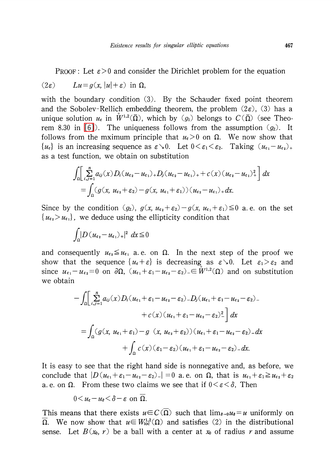PROOF: Let  $\epsilon>0$  and consider the Dirichlet problem for the equation

$$
(2\varepsilon) \qquad Lu = g(x, |u| + \varepsilon) \text{ in } \Omega,
$$

with the boundary condition (3). By the Schauder fixed point theorem and the Sobolev-Rellich embedding theorem, the problem  $(2\varepsilon)$ ,  $(3)$  has a unique solution  $u_{\varepsilon}$  in  $\tilde{W}^{1,2}(\overline{\Omega})$ , which by  $(g_{1})$  belongs to  $C(\overline{\Omega})$  (see Theo-rem 8.30 in [\[6\]](#page-10-2)). The uniqueness follows from the assumption  $(g_{2})$ . It follows from the mximum principle that  $u_{\varepsilon}>0$  on  $\Omega$ . We now show that  $\{u_{\epsilon}\}\$ is an increasing sequence as  $\varepsilon\searrow 0$ . Let  $0<\varepsilon_{1}<\varepsilon_{2}$ . Taking  $(u_{\epsilon_{1}}-u_{\epsilon_{2}})_{+}$ as a test function, we obtain on substitution

$$
\int_{\Omega} \left[ \sum_{i,j=1}^{n} a_{ij}(x) D_i (u_{\epsilon_2} - u_{\epsilon_1})_+ D_j (u_{\epsilon_2} - u_{\epsilon_1})_+ + c(x) (u_{\epsilon_2} - u_{\epsilon_1})_+^2 \right] dx
$$
  
= 
$$
\int_{\Omega} (g(x, u_{\epsilon_2} + \varepsilon_2) - g(x, u_{\epsilon_1} + \varepsilon_1)) (u_{\epsilon_2} - u_{\epsilon_1})_+ dx.
$$

Since by the condition  $(g_2)$ ,  $g(x, u_{\epsilon_{2}}+\epsilon_{2})-g(x, u_{\epsilon_{1}}+\epsilon_{1})\leq 0$  a.e. on the set  $\{u_{\varepsilon_{2}}\rangle u_{\varepsilon_{1}}\}$ , we deduce using the ellipticity condition that

$$
\int_{\Omega} |D (u_{\epsilon_2} - u_{\epsilon_1})_+|^2 \ dx \leq 0
$$

and consequently  $u_{\epsilon_{2}} \leq u_{\epsilon_{1}}$  a.e. on  $\Omega$ . In the next step of the proof we show that the sequence  $\{ u_{\varepsilon}+\varepsilon\}$  is decreasing as  $\varepsilon\searrow 0$ . Let  $\varepsilon_{1}\geq\varepsilon_{2}$  and since  $u_{\epsilon_{1}}-u_{\epsilon_{2}}=0$  on  $\partial\Omega$ ,  $(u_{\epsilon_{1}}+\epsilon_{1}-u_{\epsilon_{2}}-\epsilon_{2})\in W^{1,2}(\Omega)$  and on substitution we obtain

$$
-\int_{\Omega}\Big|\sum_{i,j=1}^{n}a_{ij}(x)D_{i}(u_{\epsilon_{1}}+\varepsilon_{1}-u_{\epsilon_{2}}-\varepsilon_{2})-D_{j}(u_{\epsilon_{1}}+\varepsilon_{1}-u_{\epsilon_{2}}-\varepsilon_{2})-
$$

$$
+c(x)(u_{\epsilon_{1}}+\varepsilon_{1}-u_{\epsilon_{2}}-\varepsilon_{2})^{2}\Big]dx
$$

$$
=\int_{\Omega}(g(x, u_{\epsilon_{1}}+\varepsilon_{1})-g(x, u_{\epsilon_{2}}+\varepsilon_{2}))(u_{\epsilon_{1}}+\varepsilon_{1}-u_{\epsilon_{2}}-\varepsilon_{2})-dx
$$

$$
+\int_{\Omega}c(x)(\varepsilon_{1}-\varepsilon_{2})(u_{\epsilon_{1}}+\varepsilon_{1}-u_{\epsilon_{2}}-\varepsilon_{2})-dx.
$$

It is easy to see that the right hand side is nonnegative and, as before, we conclude that  $|D(u_{\epsilon_1}+\epsilon_{1}-u_{\epsilon_2}-\epsilon_{2})| = 0$  a.e. on  $\Omega$ , that is  $u_{\epsilon_1}+\epsilon_{1}\geq u_{\epsilon_2}+\epsilon_{2}$ a. e. on  $\Omega$ . From these two claims we see that if  $0<\varepsilon<\delta$ , Then

$$
0 < u_{\varepsilon} - u_{\delta} < \delta - \varepsilon \text{ on } \overline{\Omega}.
$$

This means that there exists  $u\in C(\overline{\Omega})$  such that  $\lim_{s\to 0}u_{s}=u$  uniformly on  $\overline{\Omega}$ . We now show that  $u\in W_{loc}^{1,2}(\Omega)$  and satisfies (2) in the distributional sense. Let  $B(x_0, r)$  be a ball with a center at  $x_0$  of radius r and assume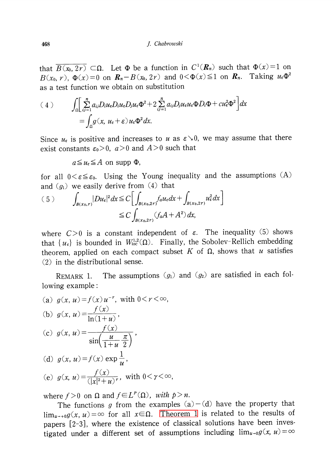that  $\overline{B(x_{0},2r)}\subset\Omega$ . Let  $\Phi$  be a function in  $C^{1}(\mathbf{R}_{n})$  such that  $\Phi(x)=1$  on  $B(x_{0}, r)$ ,  $\Phi(x)=0$  on  $\mathbf{R}_{n}-B(x_{0}, 2r)$  and  $0<\Phi(x)\leq 1$  on  $\mathbf{R}_{n}$ . Taking  $u_{\epsilon}\Phi^{2}$ as a test function we obtain on substitution

$$
(4) \qquad \int_{\Omega} \left[ \sum_{ij=1}^{n} a_{ij} D_{i} u_{\epsilon} D_{i} u_{\epsilon} D_{j} u_{\epsilon} \Phi^{2} + 2 \sum_{ij=1}^{n} a_{ij} D_{j} u_{\epsilon} u_{\epsilon} \Phi D_{i} \Phi + c u_{\epsilon}^{2} \Phi^{2} \right] dx
$$

$$
= \int_{\Omega} g(x, u_{\epsilon} + \epsilon) u_{\epsilon} \Phi^{2} dx.
$$

Since  $u_{\varepsilon}$  is positive and increases to  $u$  as  $\varepsilon\searrow 0$ , we may assume that there exist constants  $\varepsilon_{0}>0$ ,  $a>0$  and  $A>0$  such that

 $a \leq u_{\epsilon} \leq A$  on supp  $\Phi$ ,

for all  $0<\varepsilon\leq\varepsilon_{0}$ . Using the Young inequality and the assumptions  $(A)$ and  $(g_{1})$  we easily derive from (4) that

$$
(5) \qquad \int_{B(x_0,r)} |Du_{\varepsilon}|^2 dx \le C \bigg[ \int_{B(x_0,2r)} f_a u_{\varepsilon} dx + \int_{B(x_0,2r)} u_{\varepsilon}^2 dx \bigg] \le C \int_{B(x_0,2r)} (f_a A + A^2) dx,
$$

where  $C>0$  is a constant independent of  $\varepsilon$ . The inequality (5) shows that  $\{ u_{\varepsilon}\}$  is bounded in  $W_{loc}^{1,2}(\Omega)$ . Finally, the Sobolev-Rellich embedding theorem, applied on each compact subset  $K$  of  $\Omega,$  shows that  $u$  satisfies (2) in the distributional sense.

REMARK 1. The assumptions  $(g_{1})$  and  $(g_{2})$  are satisfied in each following example:

(a) 
$$
g(x, u) = f(x)u^{-r}
$$
, with  $0 < r < \infty$ ,  
(b)  $g(x, u) = \frac{f(x)}{\ln(1+u)}$ ,

(c) 
$$
g(x, u) = \frac{f(x)}{\sin(\frac{u}{1+u}\frac{\pi}{2})}
$$
,

(d) 
$$
g(x, u) = f(x) \exp \frac{1}{u}
$$
,

(e) 
$$
g(x, u) = \frac{f(x)}{(|x|^2 + u)^r}
$$
, with  $0 < \gamma < \infty$ ,

where  $f>0$  on  $\Omega$  and  $f\in L^{p}(\Omega)$ , with  $p>n$ .

The functions g from the examples  $(a) - (d)$  have the property that  $\lim_{u\to 0} g(x, u) = \infty$  for all  $x \in \Omega$ . [Theorem](#page-1-0) 1 is related to the results of papers [2-3], where the existence of classical solutions have been investigated under a different set of assumptions including  $\lim_{u\rightarrow 0}g(x, u)=\infty$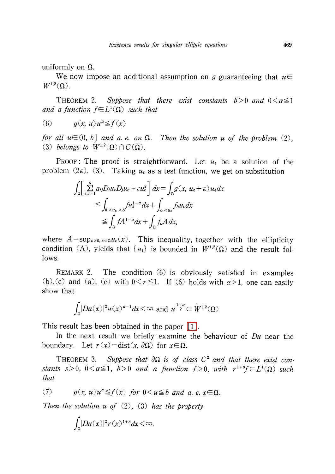uniformly on  $\Omega$ .

We now impose an additional assumption on g guaranteeing that  $u\in$  $W^{1,2}(\Omega)$ .

<span id="page-4-1"></span>THEOREM 2. Suppose that there exist constants  $b > 0$  and  $0 < a \leq 1$ and a function  $f\in L^{1}(\Omega)$  such that

$$
(6) \t g(x, u)u^a \leq f(x)
$$

for all  $u \in (0, b]$  and a. e. on  $\Omega$ . Then the solution u of the problem  $(2)$ , (3) belongs to  $W^{1,2}(\Omega)\cap C(\overline{\Omega})$ .

PROOF: The proof is straightforward. Let  $u_{\epsilon}$  be a solution of the problem (2 $\varepsilon$ ), (3). Taking  $u_{\varepsilon}$  as a test function, we get on substitution

$$
\int_{\Omega} \left[ \sum_{i,j=1}^{n} a_{ij} D_{i} u_{\epsilon} D_{j} u_{\epsilon} + c u_{\epsilon}^{2} \right] dx = \int_{\Omega} g(x, u_{\epsilon} + \epsilon) u_{\epsilon} dx
$$
  
\n
$$
\leq \int_{0}^{1} \int_{\epsilon u_{\epsilon}} f u_{\epsilon}^{1-\alpha} dx + \int_{0}^{1} \int_{\epsilon u_{\epsilon}} f_{\epsilon} u_{\epsilon} dx
$$
  
\n
$$
\leq \int_{\Omega} f A^{1-\alpha} dx + \int_{\Omega} f_{\epsilon} A dx,
$$

where  $A = \sup_{\varepsilon>0, x \in \Omega} u_{\varepsilon}(x)$ . This inequality, together with the ellipticity condition (A), yields that  $\{ u_{\epsilon}\}$  is bounded in  $W^{1,2}(\Omega)$  and the result follows.

REMARK 2. The condition (6) is obviously satisfied in examples (b), (c) and (a), (e) with  $0 < r \leq 1$ . If (6) holds with  $\alpha > 1$ , one can easily show that

$$
\int_{\Omega} |Du(x)|^2 u(x)^{\alpha-1} dx < \infty \text{ and } u^{\frac{1+\alpha}{2}} \in \mathring{W}^{1,2}(\Omega)
$$

This result has been obtained in the paper [\[1\].](#page-10-4)

In the next result we briefly examine the behaviour of  $Du$  near the boundary. Let  $r(x) = \text{dist}(x, \partial\Omega)$  for  $x \in \Omega$ .

<span id="page-4-0"></span>THEOREM 3. Suppose that  $\partial\Omega$  is of class  $C^{2}$  and that there exist constants s>0, 0< $\alpha \leq 1$ , b>0 and a function f>0, with  $r^{1+s}f\in L^{1}(\Omega)$  such that

(7) 
$$
g(x, u)u^{\alpha} \leq f(x)
$$
 for  $0 < u \leq b$  and a, e,  $x \in \Omega$ .

Then the solution  $u$  of  $(2)$ ,  $(3)$  has the property

$$
\int_{\Omega}|Du(x)|^2r(x)^{1+s}dx < \infty.
$$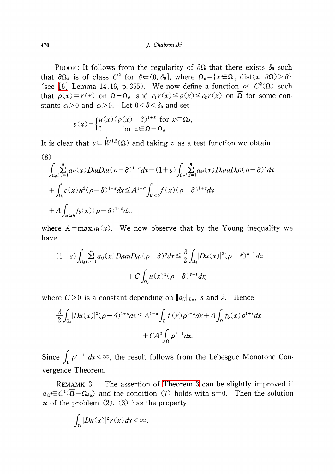470 J. Chabrowski

PROOF: It follows from the regularity of  $\partial\Omega$  that there exists  $\delta_{0}$  such that  $\partial\Omega_{8}$  is of class  $C^{2}$  for  $\delta\in(0, \delta_{0}]$ , where  $\Omega_{8} = \{ x \in\Omega ; \text{ dist}(x, \partial\Omega) > \delta \}$ (see [\[6\]](#page-10-2) Lemma 14.16, p. 355). We now define a function  $\rho\in C^{2}(\Omega)$  such that  $\rho(x)=r(x)$  on  $\Omega-\Omega_{80}$  and  $c_{1}r(x)\leq\rho(x)\leq c_{2}r(x)$  on  $\overline{\Omega}$  for some constants  $c_{1}>0$  and  $c_{2}>0$ . Let  $0<\delta<\delta_{0}$  and set

$$
v(x) = \begin{cases} u(x) (\rho(x) - \delta)^{1+s} & \text{for } x \in \Omega_s, \\ 0 & \text{for } x \in \Omega - \Omega_s. \end{cases}
$$

It is clear that  $v\in\mathring{W}^{1,2}(\Omega)$  and taking v as a test function we obtain (8)

$$
\int_{\Omega_{\delta} i, j=1}^{n} a_{ij}(x) D_i u D_j u (\rho - \delta)^{1+s} dx + (1+s) \int_{\Omega_{\delta} i, j=1}^{n} a_{ij}(x) D_i u u D_j \rho (\rho - \delta)^s dx
$$
  
+ 
$$
\int_{\Omega_{\delta}} c(x) u^2 (\rho - \delta)^{1+s} dx \leq A^{1-\alpha} \int_{u < b} f(x) (\rho - \delta)^{1+s} dx
$$
  
+ 
$$
A \int_{u \geq b} f_b(x) (\rho - \delta)^{1+s} dx,
$$

where  $A = \max_{\Omega} u(x)$ . We now observe that by the Young inequality we have

$$
(1+s)\int_{\Omega_{\delta} i, j=1}^{n} a_{ij}(x) D_i u u D_j \rho(\rho-\delta)^s dx \leq \frac{\lambda}{2} \int_{\Omega_{\delta}} |Du(x)|^2 (\rho-\delta)^{s+1} dx
$$
  
+  $C \int_{\Omega_{\delta}} u(x)^2 (\rho-\delta)^{s-1} dx$ ,

where  $C>0$  is a constant depending on  $||a_{ij}||_{L_{\infty}}$ , s and  $\lambda$ . Hence

$$
\frac{\lambda}{2} \int_{\Omega_s} |Du(x)|^2 (\rho - \delta)^{1+s} dx \leq A^{1-a} \int_{\Omega} f(x) \rho^{1+s} dx + A \int_{\Omega} f_b(x) \rho^{1+s} dx \n+ CA^2 \int_{\Omega} \rho^{s-1} dx.
$$

Since  $\int_{\Omega}\rho^{s-1}dx<\infty$ , the result follows from the Lebesgue Monotone Convergence Theorem.

REMAMK 3. The assertion of [Theorem](#page-4-0) <sup>3</sup> can be slightly improved if  $a_{ij}\in C^{1}(\overline{\Omega}-\Omega_{8_{0}})$  and the condition (7) holds with s=0. Then the solution u of the problem  $(2)$ ,  $(3)$  has the property

$$
\int_{\Omega} |Du(x)|^2 r(x) dx < \infty.
$$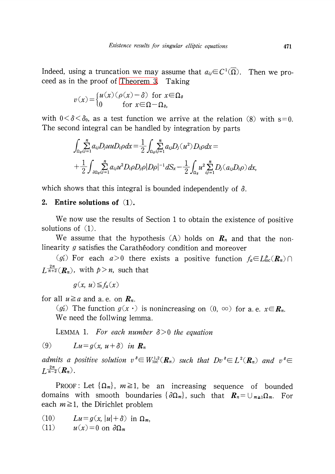Indeed, using a truncation we may assume that  $a_{ij} \!\!\in\! C^{1}(\overline{\Omega})$ . Then we proceed as in the proof of [Theorem](#page-4-0) 3. Taking

$$
v(x) = \begin{cases} u(x) (\rho(x) - \delta) & \text{for } x \in \Omega_{\delta} \\ 0 & \text{for } x \in \Omega - \Omega_{\delta} \end{cases}
$$

with  $0 \leq \delta \leq \delta_{0}$ , as a test function we arrive at the relation (8) with s=0. The second integral can be handled by integration by parts

$$
\int_{\Omega_{\delta}} \sum_{i,j=1}^{n} a_{ij} D_{j} u u D_{i} \rho dx = \frac{1}{2} \int_{\Omega_{\delta}} \sum_{i,j=1}^{n} a_{ij} D_{j} (u^{2}) D_{i} \rho dx =
$$
  
+ 
$$
\frac{1}{2} \int_{\partial \Omega_{\delta}} \sum_{i,j=1}^{n} a_{ij} u^{2} D_{i} \rho D_{j} \rho |D \rho|^{-1} dS_{x} - \frac{1}{2} \int_{\Omega_{\delta}} u^{2} \sum_{i,j=1}^{n} D_{j} (a_{ij} D_{i} \rho) dx,
$$

which shows that this integral is bounded independently of  $\delta$ .

#### 2. Entire solutions of (1).

We now use the results of Section <sup>1</sup> to obtain the existence of positive solutions of  $(1)$ .

We assume that the hypothesis (A) holds on  $\mathbf{R}_{n}$  and that the nonlinearity  $g$  satisfies the Carath $\epsilon$ odory condition and moreover

(g'<sub>1</sub>) For each  $a>0$  there exists a positive function  $f_{a}\in L_{loc}^{p}(R_{n})\cap$  $L^{\frac{2n}{n+2}}(R_{n})$ , with  $p>n$ , such that

 $g(x, u) \leq f_{a}(x)$ 

for all  $u \geq a$  and a. e. on  $\mathbf{R}_n$ .

(g/2) The function  $g(x \cdot)$  is nonincreasing on (0,  $\infty$ ) for a.e.  $x \in R_{n}$ . We need the follwing lemma.

<span id="page-6-0"></span>LEMMA 1. For each number  $\delta>0$  the equation

(9)  $Lu=q(x, u+\delta)$  in  $\mathbf{R}_{n}$ 

admits a positive solution  $v^{\delta}\in W_{loc}^{1,2}(\mathbf{R}_{n})$  such that  $Dv^{\delta}\in L^{2}(\mathbf{R}_{n})$  and  $v^{\delta}\in$  $L^{\overline{n-2}}(\mathbf{R}_{n})$ .

Proof: Let  $\{\Omega_{m}\},\; m\!\geq\! 1,$  be an increasing sequence of bounded domains with smooth boundaries  $\{\partial\Omega_{m}\},$  such that  $\boldsymbol{R}_{n}$   $=$   $\cup_{m\geq 1}\Omega_{m}.$  For each  $m\!\geq\! 1$ , the Dirichlet problem

- (10)  $Lu = g(x, |u| + \delta)$  in  $\Omega_{m}$ ,
- (11)  $u(x)=0$  on  $\partial\Omega_{m}$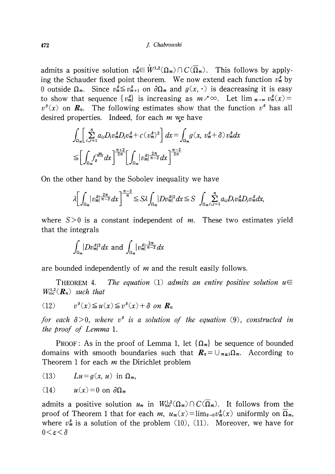#### 472 J. Chabrowski

admits a positive solution  $v_{m}^{s}\in\overset{\circ}{W}^{1,2}(\Omega_{m})\cap C(\overline{\Omega}_{m})$ . This follows by applying the Schauder fixed point theorem. We now extend each function  $v_{m}^{\delta}$  by 0 outside  $\Omega_{m}$ . Since  $v_{m}^{\delta} \leq v_{m+1}^{\delta}$  on  $\partial\Omega_{m}$  and  $g(x, \cdot)$  is deacreasing it is easy to show that sequence  $\{ v_{m}^{s}\}$  is increasing as  $m\lambda\infty$ . Let lim  $_{m\to\infty} v_{m}^{s}(x)=$  $v^{8}(x)$  on  $\boldsymbol{R}_{n}$ . The following estimates show that the function  $v^{8}$  has all desired properties. Indeed, for each  $m$  we have

$$
\int_{\Omega_m} \left[ \sum_{i,j=1}^n a_{ij} D_i v_m^{\delta} D_j v_m^{\delta} + c (v_m^{\delta})^2 \right] dx = \int_{\Omega_m} g(x, v_m^{\delta} + \delta) v_m^{\delta} dx
$$
  

$$
\leq \left[ \int_{\Omega_m} f_{\delta}^{\frac{2n}{n+2}} dx \right]^{n+2} \left[ \int_{\Omega_m} |v_m^{\delta}|^{\frac{2n}{n-2}} dx \right]^{n-2} dx
$$

On the other hand by the Sobolev inequality we have

$$
\lambda \bigg[ \int_{\Omega_m} |v_m^{\delta}|^{\frac{2n}{n-2}} dx \bigg]^{\frac{n-2}{n}} \leq S \lambda \int_{\Omega_m} |D v_m^{\delta}|^2 dx \leq S \int_{\Omega_m} \sum_{i,j=1}^n a_{ij} D_i v_m^{\delta} D_j v_m^{\delta} dx,
$$

where  $S>0$  is a constant independent of m. These two estimates yield that the integrals

$$
\int_{\Omega_m} |Dv_m^{\delta}|^2 dx \text{ and } \int_{\Omega_m} |v_m^{\delta}|^{\frac{2n}{n-2}} dx
$$

are bounded independently of  $m$  and the result easily follows.

THEOREM 4. The equation (1) admits an entire positive solution  $u\in$  $W_{\text{loc}}^{1,2}(\mathbf{R}_{n})$  such that

(12) 
$$
v^{\delta}(x) \leq u(x) \leq v^{\delta}(x) + \delta \text{ on } \mathbf{R}_n
$$

for each  $\delta>0$ , where  $v^{8}$  is a solution of the equation (9), constructed in the proof of Lemma 1.

PROOF: As in the proof of Lemma 1, let  $\{\Omega_{m}\}$  be sequence of bounded domains with smooth boundaries such that  $\boldsymbol{R}_{n}= \cup_{m\geq 1}\Omega_{m}.$  According to Theorem 1 for each  $m$  the Dirichlet problem

(13) 
$$
Lu = g(x, u)
$$
 in  $\Omega_m$ ,

(14) 
$$
u(x)=0
$$
 on  $\partial\Omega_m$ 

admits a positive solution  $u_{m}$  in  $W_{\text{loc}}^{1,2}(\Omega_{m})\cap C(\overline{\Omega}_{m})$ . It follows from the proof of Theorem 1 that for each m,  $u_{m}(x)$  =  $\lim_{\delta\to 0}v_{m}^{\delta}(x)$  uniformly on  $\Omega_{m}$ , where  $v_{m}^{\delta}$  is a solution of the problem (10), (11). Moreover, we have for  $0<\varepsilon<\delta$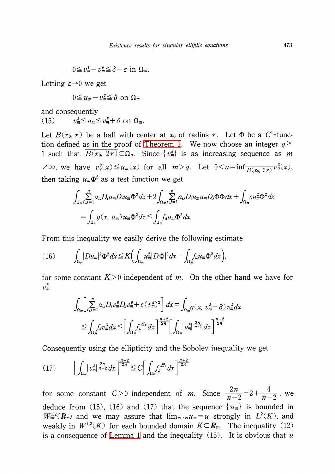$$
0 \leq v_m^{\varepsilon} - v_m^{\delta} \leq \delta - \varepsilon \text{ in } \Omega_m.
$$

Letting  $\varepsilon \rightarrow 0$  we get

$$
0 \le u_m - v_m^{\delta} \le \delta \text{ on } \Omega_m
$$

and consequently

(15)  $v_{m}^{s}\leq u_{m}\leq v_{m}^{s}+\delta$  on  $\Omega_{m}$ .

Let  $B(x_0, r)$  be a ball with center at  $x_0$  of radius r. Let  $\Phi$  be a  $C^{1_{-}}$ func-tion defined as in the proof of [Theorem](#page-1-0) 1. We now choose an integer  $q\geq$ 1 such that  $\overline{B(x_{0}, 2r)}\subset\Omega_{q}$ . Since  $\{ v_{m}^{s}\}$  is as increasing sequence as m  $\lambda \infty$ , we have  $v_{q}^{s}(x) \leq u_{m}(x)$  for all  $m>q$ . Let  $0 \leq a=\inf_{\overline{B(x_{0},2r)}}v_{q}^{s}(x)$ , then taking  $u_{m}\Phi^{2}$  as a test function we get

$$
\int_{\Omega_m} \sum_{i,j=1}^n a_{ij} D_i u_m D_j u_m \Phi^2 dx + 2 \int_{\Omega_m} \sum_{i,j=1}^n a_{ij} D_i u_m u_m D_j \Phi \Phi dx + \int_{\Omega_m} c u_m^2 \Phi^2 dx
$$
  
= 
$$
\int_{\Omega_m} g(x, u_m) u_m \Phi^2 dx \leq \int_{\Omega_m} f_a u_m \Phi^2 dx.
$$

From this inequality we easily derive the following estimate

(16) 
$$
\int_{\Omega_m} |Du_m|^2 \Phi^2 dx \leq K \bigg( \int_{\Omega_m} u_m^2 |D\Phi|^2 dx + \int_{\Omega_m} f_a u_m \Phi^2 dx \bigg),
$$

for some constant  $K>0$  independent of m. On the other hand we have for  $v_{m}^{\delta}$ 

$$
\int_{\Omega_m} \left[ \sum_{i,j=1}^n a_{ij} D_i v_m^{\delta} D_j v_m^{\delta} + c (v_m^{\delta})^2 \right] dx = \int_{\Omega_m} g(x, v_m^{\delta} + \delta) v_m^{\delta} dx
$$
  

$$
\leq \int_{\Omega_m} f_{\delta} v_m^{\delta} dx \leq \left[ \int_{\Omega_m} f_{\delta}^{2n} dx \right]^{n+2} \left[ \int_{\Omega_m} |v_m^{\delta}|^{2n} \right]^{2n} dx \right]^{n-2}
$$

Consequently using the ellipticity and the Sobolev inequality we get

$$
(17) \qquad \left[\int_{\Omega_m} |v_m^{\delta}|^{\frac{2n}{n-2}} dx\right]^{\frac{n-2}{2n}} \leq C \left[\int_{\Omega_m} f_{\delta}^{\frac{2n}{n+2}} dx\right]^{\frac{n+2}{2n}}
$$

for some constant  $C>0$  independent of m. Since  $\frac{2n}{n-2}=2+\frac{4}{n-2}$ , we deduce from (15), (16) and (17) that the sequence  $\{ u_{m} \}$  is bounded in  $W_{loc}^{1,2}(\mathbf{R}_{n})$  and we may assure that  $\lim_{m\rightarrow\infty}u_{m}=u$  strongly in  $L^{2}(K)$ , and weakly in  $W^{1,2}(K)$  for each bounded domain  $K\mathbb{C} \textbf{\textit{R}}_n$ . The inequality  $(12)$ is a consequence of [Lemma](#page-6-0) 1 and the inequality  $(15)$ . It is obvious that u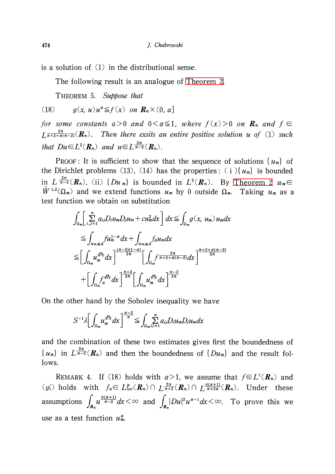is a solution of (1) in the distributional sense.

The following result is an analogue of [Theorem](#page-4-1) 2.

THEOREM 5. Suppose that

(18) 
$$
g(x, u)u^a \leq f(x) \text{ on } \mathbf{R}_n \times (0, a]
$$

for some constants  $a>0$  and  $0<\alpha\leq 1$ , where  $f(x)>0$  on  $\mathbf{R}_{n}$  and  $f\in$  $\frac{2n}{n+2+a(n-2)}(\mathbf{R}_{n})$ . Then there exsits an entire positive solution u of (1) such that  $Du \in L^{2}(\mathbf{R}_{n})$  and  $u \in L^{\frac{2n}{n-2}}(\mathbf{R}_{n})$ .

PROOF: It is sufficient to show that the sequence of solutions  $\{ u_{m}\}$  of the Dirichlet problems (13), (14) has the properties: (i) $\{u_{m}\}$  is bounded in  $L^{\frac{2n}{n-2}}(R_{n})$ , (ii)  $\{Du_{m}\}\$ is bounded in  $L^{2}(R_{n})$ . By [Theorem](#page-4-1) 2  $u_{m}\in$  $W^{1,2}(\Omega_{m})$  and we extend functions  $u_{m}$  by 0 outside  $\Omega_{m}$ . Taking  $u_{m}$  as a test function we obtain on substitution

$$
\int_{\Omega_m} \left[ \sum_{i,j=1}^n a_{ij} D_i u_m D_j u_m + c u_m^2 dx \right] dx \leq \int_{\Omega_m} g(x, u_m) u_m dx
$$
  
\n
$$
\leq \int_{u_m \leq a} f u_m^{1-\alpha} dx + \int_{u_m \geq a} f_a u_m dx
$$
  
\n
$$
\leq \left[ \int_{\Omega_m} u_m^{\frac{2n}{n-2}} dx \right]^{n-2} \left[ \int_{\Omega_m} f^{\frac{2n}{n+2+\alpha(n-2)}} dx \right]^{n+2+\alpha(n-2)} \left[ \int_{\Omega_m} f^{\frac{2n}{n+2+\alpha(n-2)}} dx \right]^{n-2} \left[ \int_{\Omega_m} u_m^{\frac{2n}{n-2}} dx \right]
$$

On the other hand by the Sobolev inequality we have

$$
S^{-1}\lambda\bigg[\int_{\Omega_m}u_m^{\frac{2n}{n-2}}dx\bigg]^{\frac{n-2}{n}}\leq \int_{\Omega_m}\sum_{i,j=1}^n a_{ij}D_iu_mD_ju_mdx
$$

and the combination of these two estimates gives first the boundedness of  $\{u_{m}\}\$  in  $L^{\overline{n-2}}(R_{n})$  and then the boundedness of  $\{Du_{m}\}\$  and the result follows.

REMARK 4. If (18) holds with  $\alpha>1$ , we assume that  $f\!\in\! L^{1}(\pmb{R}_{n})$  and  $(g_{1}')$  holds with  $f_{a}\in L^{p}_{loc}(R_{n})\cap L^{\frac{2n}{n+2}}(R_{n})\cap L^{\frac{n(\alpha+1)}{n+2\alpha}}(R_{n})$ . Under these assumptions  $\int_{R_{n}} u^{\frac{n(2+1)}{n-2}}dx < \infty$  and  $\int_{R_{n}} |Du|^2u^{a-1}dx < \infty$ . To prove this we use as a test function  $u_{m}^{\alpha}$ .